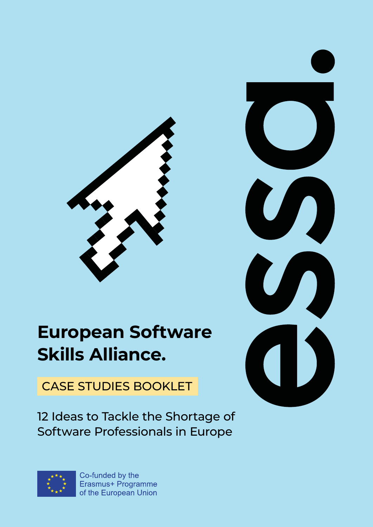

# **European Software Skills Alliance.**

CASE STUDIES BOOKLET

12 Ideas to Tackle the Shortage of Software Professionals in Europe



Co-funded by the Erasmus+ Programme of the European Union

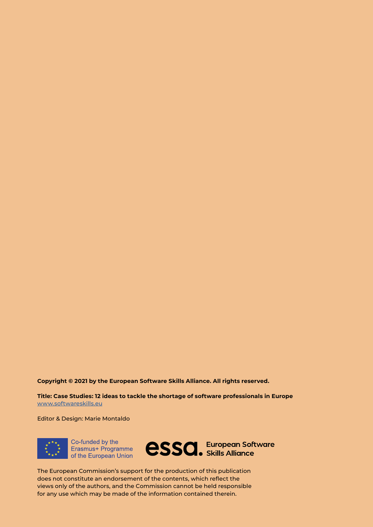**Copyright © 2021 by the European Software Skills Alliance. All rights reserved.**

**Title: Case Studies: 12 ideas to tackle the shortage of software professionals in Europe** [www.softwareskills.eu](https://www.softwareskills.eu/)

Editor & Design: Marie Montaldo



Co-funded by the Erasmus+ Programme of the European Union



The European Commission's support for the production of this publication does not constitute an endorsement of the contents, which reflect the views only of the authors, and the Commission cannot be held responsible for any use which may be made of the information contained therein.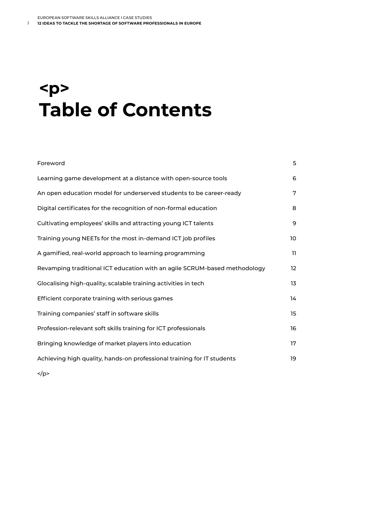## **<p> Table of Contents**

| Foreword                                                                  | 5  |
|---------------------------------------------------------------------------|----|
| Learning game development at a distance with open-source tools            | 6  |
| An open education model for underserved students to be career-ready       | 7  |
| Digital certificates for the recognition of non-formal education          | 8  |
| Cultivating employees' skills and attracting young ICT talents            | 9  |
| Training young NEETs for the most in-demand ICT job profiles              | 10 |
| A gamified, real-world approach to learning programming                   | 11 |
| Revamping traditional ICT education with an agile SCRUM-based methodology | 12 |
| Glocalising high-quality, scalable training activities in tech            | 13 |
| Efficient corporate training with serious games                           | 14 |
| Training companies' staff in software skills                              | 15 |
| Profession-relevant soft skills training for ICT professionals            | 16 |
| Bringing knowledge of market players into education                       | 17 |
| Achieving high quality, hands-on professional training for IT students    | 19 |
| $<$ /p>                                                                   |    |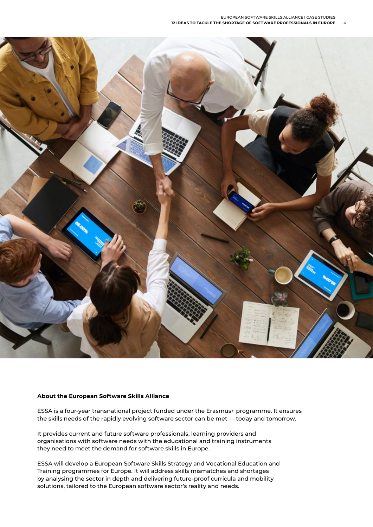

#### **About the European Software Skills Alliance**

ESSA is a four-year transnational project funded under the Erasmus+ programme. It ensures the skills needs of the rapidly evolving software sector can be met — today and tomorrow.

It provides current and future software professionals, learning providers and organisations with software needs with the educational and training instruments they need to meet the demand for software skills in Europe.

ESSA will develop a European Software Skills Strategy and Vocational Education and Training programmes for Europe. It will address skills mismatches and shortages by analysing the sector in depth and delivering future-proof curricula and mobility solutions, tailored to the European software sector's reality and needs.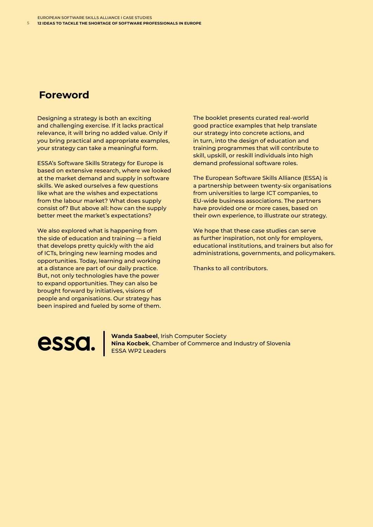### <span id="page-4-0"></span>**Foreword**

Designing a strategy is both an exciting and challenging exercise. If it lacks practical relevance, it will bring no added value. Only if you bring practical and appropriate examples, your strategy can take a meaningful form.

ESSA's Software Skills Strategy for Europe is based on extensive research, where we looked at the market demand and supply in software skills. We asked ourselves a few questions like what are the wishes and expectations from the labour market? What does supply consist of? But above all: how can the supply better meet the market's expectations?

We also explored what is happening from the side of education and training — a field that develops pretty quickly with the aid of ICTs, bringing new learning modes and opportunities. Today, learning and working at a distance are part of our daily practice. But, not only technologies have the power to expand opportunities. They can also be brought forward by initiatives, visions of people and organisations. Our strategy has been inspired and fueled by some of them.

The booklet presents curated real-world good practice examples that help translate our strategy into concrete actions, and in turn, into the design of education and training programmes that will contribute to skill, upskill, or reskill individuals into high demand professional software roles.

The European Software Skills Alliance (ESSA) is a partnership between twenty-six organisations from universities to large ICT companies, to EU-wide business associations. The partners have provided one or more cases, based on their own experience, to illustrate our strategy.

We hope that these case studies can serve as further inspiration, not only for employers, educational institutions, and trainers but also for administrations, governments, and policymakers.

Thanks to all contributors.

## essa.

**Wanda Saabeel**, Irish Computer Society **Nina Kocbek**, Chamber of Commerce and Industry of Slovenia ESSA WP2 Leaders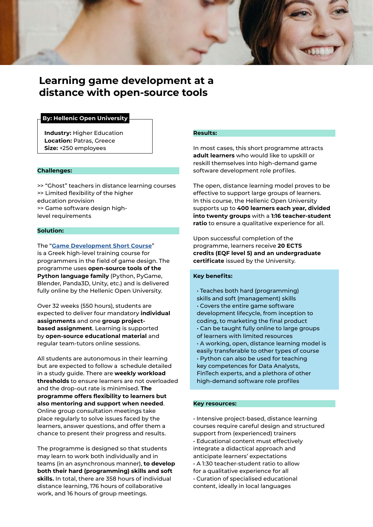<span id="page-5-0"></span>

### **Learning game development at a distance with open-source tools**

#### **By: Hellenic Open University**

**Industry:** Higher Education **Location:** Patras, Greece **Size:** +250 employees

#### **Challenges:**

>> "Ghost" teachers in distance learning courses >> Limited flexibility of the higher education provision >> Game software design highlevel requirements

#### **Solution:**

The "**[Game Development Short Course](https://sites.google.com/view/eap-sps-gamedev)**" is a Greek high-level training course for programmers in the field of game design. The programme uses **open-source tools of the Python language family** (Python, PyGame, Blender, Panda3D, Unity, etc.) and is delivered fully online by the Hellenic Open University.

Over 32 weeks (550 hours), students are expected to deliver four mandatory **individual assignments** and one **group projectbased assignment**. Learning is supported by **open-source educational material** and regular team-tutors online sessions.

All students are autonomous in their learning but are expected to follow a schedule detailed in a study guide. There are **weekly workload thresholds** to ensure learners are not overloaded and the drop-out rate is minimised. **The programme offers flexibility to learners but also mentoring and support when needed**. Online group consultation meetings take place regularly to solve issues faced by the learners, answer questions, and offer them a chance to present their progress and results.

The programme is designed so that students may learn to work both individually and in teams (in an asynchronous manner), **to develop both their hard (programming) skills and soft skills.** In total, there are 358 hours of individual distance learning, 176 hours of collaborative work, and 16 hours of group meetings.

#### **Results:**

In most cases, this short programme attracts **adult learners** who would like to upskill or reskill themselves into high-demand game software development role profiles.

The open, distance learning model proves to be effective to support large groups of learners. In this course, the Hellenic Open University supports up to **400 learners each year, divided into twenty groups** with a **1:16 teacher-student ratio** to ensure a qualitative experience for all.

Upon successful completion of the programme, learners receive **20 ECTS credits (EQF level 5) and an undergraduate certificate** issued by the University.

#### **Key benefits:**

• Teaches both hard (programming) skills and soft (management) skills  $\cdot$  Covers the entire game software development lifecycle, from inception to coding, to marketing the final product • Can be taught fully online to large groups of learners with limited resources • A working, open, distance learning model is easily transferable to other types of course • Python can also be used for teaching key competences for Data Analysts, FinTech experts, and a plethora of other high-demand software role profiles

#### **Key resources:**

• Intensive project-based, distance learning courses require careful design and structured support from (experienced) trainers • Educational content must effectively integrate a didactical approach and anticipate learners' expectations • A 1:30 teacher-student ratio to allow for a qualitative experience for all • Curation of specialised educational content, ideally in local languages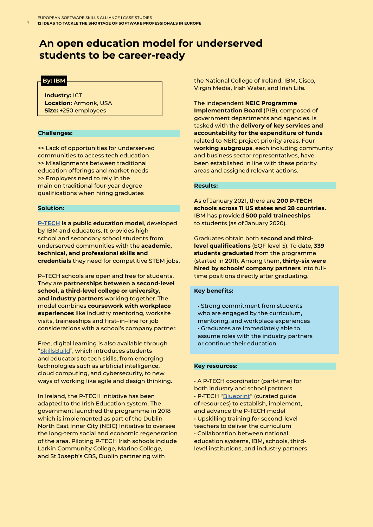### <span id="page-6-0"></span>**An open education model for underserved students to be career-ready**

#### **By: IBM**

**Industry:** ICT **Location:** Armonk, USA **Size:** +250 employees

#### **Challenges:**

>> Lack of opportunities for underserved communities to access tech education >> Misalignments between traditional education offerings and market needs >> Employers need to rely in the main on traditional four-year degree qualifications when hiring graduates

#### **Solution:**

**[P-TECH](https://www.ibm.org/initiatives/p-tech) is a public education model**, developed by IBM and educators. It provides high school and secondary school students from underserved communities with the **academic, technical, and professional skills and credentials** they need for competitive STEM jobs.

P–TECH schools are open and free for students. They are **partnerships between a second-level school, a third-level college or university, and industry partners** working together. The model combines **coursework with workplace experiences** like industry mentoring, worksite visits, traineeships and first–in–line for job considerations with a school's company partner.

Free, digital learning is also available through ["SkillsBuild](https://skillsbuild.org/students)", which introduces students and educators to tech skills, from emerging technologies such as artificial intelligence, cloud computing, and cybersecurity, to new ways of working like agile and design thinking.

In Ireland, the P-TECH initiative has been adapted to the Irish Education system. The government launched the programme in 2018 which is implemented as part of the Dublin North East Inner City (NEIC) Initiative to oversee the long-term social and economic regeneration of the area. Piloting P-TECH Irish schools include Larkin Community College, Marino College, and St Joseph's CBS, Dublin partnering with

the National College of Ireland, IBM, Cisco, Virgin Media, Irish Water, and Irish Life.

The independent **NEIC Programme Implementation Board** (PIB), composed of government departments and agencies, is tasked with the **delivery of key services and accountability for the expenditure of funds**  related to NEIC project priority areas. Four **working subgroups**, each including community and business sector representatives, have been established in line with these priority areas and assigned relevant actions.

#### **Results:**

As of January 2021, there are **200 P-TECH schools across 11 US states and 28 countries.**  IBM has provided **500 paid traineeships**  to students (as of January 2020).

Graduates obtain both **second and thirdlevel qualifications** (EQF level 5). To date, **339 students graduated** from the programme (started in 2011). Among them, **thirty-six were hired by schools' company partners** into fulltime positions directly after graduating.

#### **Key benefits:**

• Strong commitment from students who are engaged by the curriculum, mentoring, and workplace experiences • Graduates are immediately able to assume roles with the industry partners or continue their education

#### **Key resources:**

• A P-TECH coordinator (part-time) for both industry and school partners • P-TECH "[Blueprint](https://www.ptech.org/getting-started/blueprint/)" (curated guide of resources) to establish, implement, and advance the P-TECH model • Upskilling training for second-level teachers to deliver the curriculum • Collaboration between national education systems, IBM, schools, thirdlevel institutions, and industry partners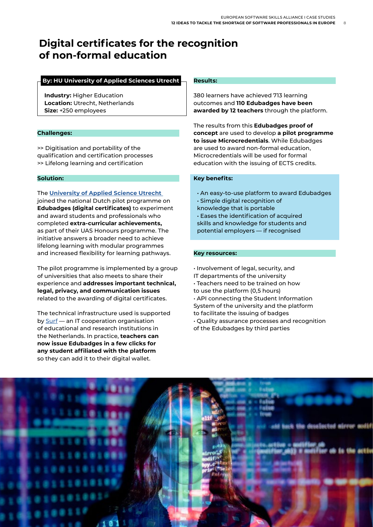### <span id="page-7-0"></span>**Digital certificates for the recognition of non-formal education**

#### **By: HU University of Applied Sciences Utrecht**

**Industry:** Higher Education **Location:** Utrecht, Netherlands **Size:** +250 employees

#### **Challenges:**

>> Digitisation and portability of the qualification and certification processes >> Lifelong learning and certification

#### **Solution:**

The **[University of Applied Science Utrecht](https://www.internationalhu.com/)**  joined the national Dutch pilot programme on **Edubadges (digital certificates)** to experiment and award students and professionals who completed **extra-curricular achievements,**  as part of their UAS Honours programme. The initiative answers a broader need to achieve lifelong learning with modular programmes and increased flexibility for learning pathways.

The pilot programme is implemented by a group of universities that also meets to share their experience and **addresses important technical, legal, privacy, and communication issues**  related to the awarding of digital certificates.

The technical infrastructure used is supported by [Surf](https://www.surf.nl/edubadges-digitale-certificaten-uitreiken-aan-studenten) — an IT cooperation organisation of educational and research institutions in the Netherlands. In practice, **teachers can now issue Edubadges in a few clicks for any student affiliated with the platform** so they can add it to their digital wallet.

#### **Results:**

380 learners have achieved 713 learning outcomes and **110 Edubadges have been awarded by 12 teachers** through the platform.

The results from this **Edubadges proof of concept** are used to develop **a pilot programme to issue Microcredentials**. While Edubadges are used to award non-formal education, Microcredentials will be used for formal education with the issuing of ECTS credits.

#### **Key benefits:**

- An easy-to-use platform to award Edubadges
- Simple digital recognition of
- knowledge that is portable
- Eases the identification of acquired skills and knowledge for students and
- potential employers if recognised

#### **Key resources:**

- Involvement of legal, security, and
- IT departments of the university
- Teachers need to be trained on how
	- to use the platform (0,5 hours)
- API connecting the Student Information
- System of the university and the platform
- to facilitate the issuing of badges
- Quality assurance processes and recognition
- of the Edubadges by third parties

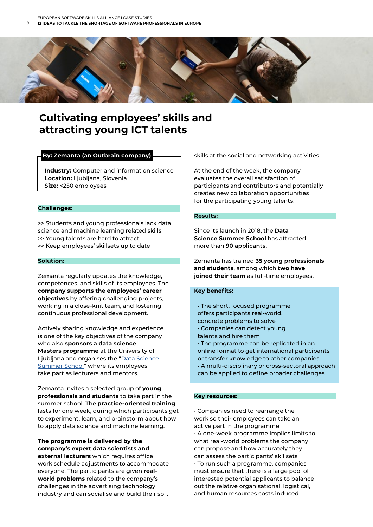<span id="page-8-0"></span>EUROPEAN SOFTWARE SKILLS ALLIANCE I CASE STUDIES

9 **12 IDEAS TO TACKLE THE SHORTAGE OF SOFTWARE PROFESSIONALS IN EUROPE**



### **Cultivating employees' skills and attracting young ICT talents**

#### **By: Zemanta (an Outbrain company)**

**Industry:** Computer and information science **Location:** Ljubljana, Slovenia **Size:** <250 employees

#### **Challenges:**

>> Students and young professionals lack data science and machine learning related skills >> Young talents are hard to attract >> Keep employees' skillsets up to date

#### **Solution:**

Zemanta regularly updates the knowledge, competences, and skills of its employees. The **company supports the employees' career objectives** by offering challenging projects, working in a close-knit team, and fostering continuous professional development.

Actively sharing knowledge and experience is one of the key objectives of the company who also **sponsors a data science Masters programme** at the University of Ljubljana and organises the "[Data Science](https://zemanta-datascience.squarespace.com/)  [Summer School](https://zemanta-datascience.squarespace.com/)" where its employees take part as lecturers and mentors.

Zemanta invites a selected group of **young professionals and students** to take part in the summer school. The **practice-oriented training** lasts for one week, during which participants get to experiment, learn, and brainstorm about how to apply data science and machine learning.

**The programme is delivered by the company's expert data scientists and external lecturers** which requires office work schedule adjustments to accommodate everyone. The participants are given **realworld problems** related to the company's challenges in the advertising technology industry and can socialise and build their soft skills at the social and networking activities.

At the end of the week, the company evaluates the overall satisfaction of participants and contributors and potentially creates new collaboration opportunities for the participating young talents.

#### **Results:**

Since its launch in 2018, the **Data Science Summer School** has attracted more than **90 applicants.** 

Zemanta has trained **35 young professionals and students**, among which **two have joined their team** as full-time employees.

#### **Key benefits:**

- The short, focused programme
- offers participants real-world,
- concrete problems to solve • Companies can detect young
- 
- talents and hire them
- The programme can be replicated in an online format to get international participants or transfer knowledge to other companies • A multi-disciplinary or cross-sectoral approach can be applied to define broader challenges
	-

#### **Key resources:**

• Companies need to rearrange the work so their employees can take an active part in the programme

• A one-week programme implies limits to what real-world problems the company can propose and how accurately they can assess the participants' skillsets • To run such a programme, companies must ensure that there is a large pool of interested potential applicants to balance out the relative organisational, logistical, and human resources costs induced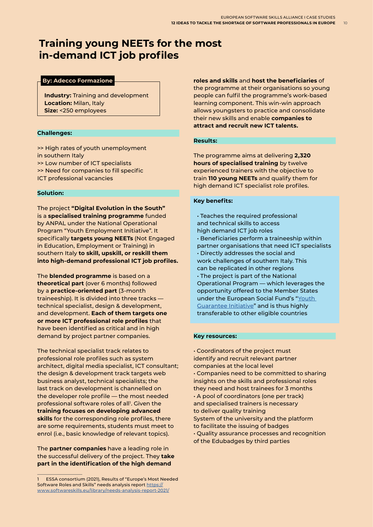### <span id="page-9-0"></span>**Training young NEETs for the most in-demand ICT job profiles**

#### **By: Adecco Formazione**

**Industry:** Training and development **Location:** Milan, Italy **Size:** <250 employees

#### **Challenges:**

>> High rates of youth unemployment in southern Italy >> Low number of ICT specialists >> Need for companies to fill specific ICT professional vacancies

#### **Solution:**

The project **"Digital Evolution in the South"** is a **specialised training programme** funded by ANPAL under the National Operational Program "Youth Employment Initiative". It specifically **targets young NEETs** (Not Engaged in Education, Employment or Training) in southern Italy **to skill, upskill, or reskill them into high-demand professional ICT job profiles.**

The **blended programme** is based on a **theoretical part** (over 6 months) followed by a **practice-oriented part** (3-month traineeship). It is divided into three tracks technical specialist, design & development, and development. **Each of them targets one or more ICT professional role profiles** that have been identified as critical and in high demand by project partner companies.

The technical specialist track relates to professional role profiles such as system architect, digital media specialist, ICT consultant; the design & development track targets web business analyst, technical specialists; the last track on development is channelled on the developer role profile — the most needed professional software roles of all<sup>1</sup>. Given the **training focuses on developing advanced skills** for the corresponding role profiles, there are some requirements, students must meet to enrol (i.e., basic knowledge of relevant topics).

The **partner companies** have a leading role in the successful delivery of the project. They **take part in the identification of the high demand** 

**roles and skills** and **host the beneficiaries** of the programme at their organisations so young people can fulfil the programme's work-based learning component. This win-win approach allows youngsters to practice and consolidate their new skills and enable **companies to attract and recruit new ICT talents.**

#### **Results:**

The programme aims at delivering **2,320 hours of specialised training** by twelve experienced trainers with the objective to train **110 young NEETs** and qualify them for high demand ICT specialist role profiles.

#### **Key benefits:**

• Teaches the required professional and technical skills to access high demand ICT job roles • Beneficiaries perform a traineeship within partner organisations that need ICT specialists • Directly addresses the social and work challenges of southern Italy. This can be replicated in other regions • The project is part of the National Operational Program — which leverages the opportunity offered to the Member States under the European Social Fund's "[Youth](https://ec.europa.eu/esf/main.jsp?catId=67&langId=en&newsId=2645)  [Guarantee Initiative](https://ec.europa.eu/esf/main.jsp?catId=67&langId=en&newsId=2645)" and is thus highly transferable to other eligible countries

#### **Key resources:**

• Coordinators of the project must identify and recruit relevant partner companies at the local level • Companies need to be committed to sharing insights on the skills and professional roles they need and host trainees for 3 months • A pool of coordinators (one per track) and specialised trainers is necessary to deliver quality training System of the university and the platform to facilitate the issuing of badges • Quality assurance processes and recognition of the Edubadges by third parties

<sup>1</sup> ESSA consortium (2021), Results of "Europe's Most Needed Software Roles and Skills" needs analysis report [https://](https://www.softwareskills.eu/library/needs-analysis-report-2021/) [www.softwareskills.eu/library/needs-analysis-report-2021/](https://www.softwareskills.eu/library/needs-analysis-report-2021/)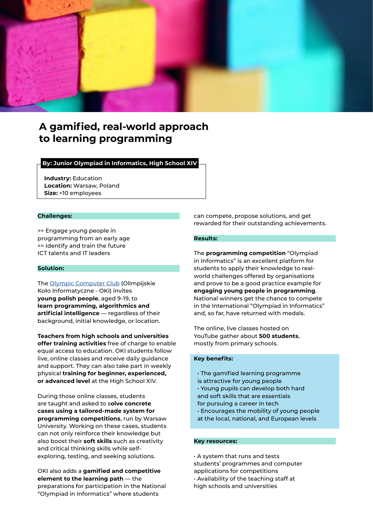<span id="page-10-0"></span>

### **A gamified, real-world approach to learning programming**

#### **By: Junior Olympiad in Informatics, High School XIV**

**Industry:** Education **Location:** Warsaw, Poland **Size:** <10 employees

#### **Challenges:**

>> Engage young people in programming from an early age >> Identify and train the future ICT talents and IT leaders

#### **Solution:**

The [Olympic Computer Club](https://oki.org.pl/) (Olimpijskie Koło Informatyczne - OKI) invites **young polish people**, aged 9-19, to **learn programming, algorithmics and artificial intelligence** — regardless of their background, initial knowledge, or location.

**Teachers from high schools and universities offer training activities** free of charge to enable equal access to education. OKI students follow live, online classes and receive daily guidance and support. They can also take part in weekly physical **training for beginner, experienced, or advanced level** at the High School XIV.

During those online classes, students are taught and asked to s**olve concrete cases using a tailored-made system for programming competitions**, run by Warsaw University. Working on these cases, students can not only reinforce their knowledge but also boost their **soft skills** such as creativity and critical thinking skills while selfexploring, testing, and seeking solutions.

OKI also adds a **gamified and competitive element to the learning path** — the preparations for participation in the National "Olympiad in Informatics" where students

can compete, propose solutions, and get rewarded for their outstanding achievements.

#### **Results:**

The **programming competition** "Olympiad in Informatics" is an excellent platform for students to apply their knowledge to realworld challenges offered by organisations and prove to be a good practice example for **engaging young people in programming**. National winners get the chance to compete in the International "Olympiad in Informatics" and, so far, have returned with medals.

The online, live classes hosted on YouTube gather about **500 students**, mostly from primary schools.

#### **Key benefits:**

- The gamified learning programme is attractive for young people
- Young pupils can develop both hard and soft skills that are essentials
- for pursuing a career in tech
- Encourages the mobility of young people at the local, national, and European levels

#### **Key resources:**

• A system that runs and tests students' programmes and computer applications for competitions

- Availability of the teaching staff at
- high schools and universities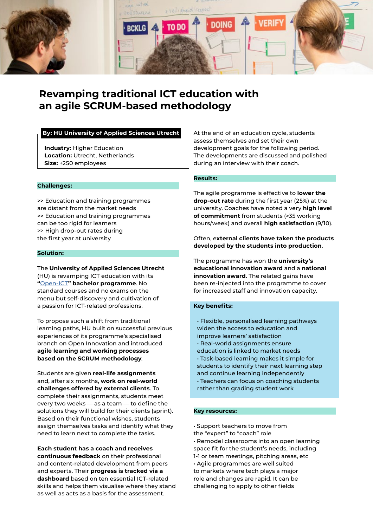<span id="page-11-0"></span>

### **Revamping traditional ICT education with an agile SCRUM-based methodology**

#### **By: HU University of Applied Sciences Utrecht**

**Industry:** Higher Education **Location:** Utrecht, Netherlands **Size:** +250 employees

#### **Challenges:**

>> Education and training programmes are distant from the market needs >> Education and training programmes can be too rigid for learners >> High drop-out rates during the first year at university

#### **Solution:**

The **University of Applied Sciences Utrecht** (HU) is revamping ICT education with its **"**[Open-ICT](https://husite.nl/open-ict/)**" bachelor programme**. No standard courses and no exams on the menu but self-discovery and cultivation of a passion for ICT-related professions.

To propose such a shift from traditional learning paths, HU built on successful previous experiences of its programme's specialised branch on Open Innovation and introduced **agile learning and working processes based on the SCRUM methodology**.

Students are given **real-life assignments** and, after six months, **work on real-world challenges offered by external clients**. To complete their assignments, students meet every two weeks — as a team — to define the solutions they will build for their clients (sprint). Based on their functional wishes, students assign themselves tasks and identify what they need to learn next to complete the tasks.

**Each student has a coach and receives continuous feedback** on their professional and content-related development from peers and experts. Their **progress is tracked via a dashboard** based on ten essential ICT-related skills and helps them visualise where they stand as well as acts as a basis for the assessment.

At the end of an education cycle, students assess themselves and set their own development goals for the following period. The developments are discussed and polished during an interview with their coach.

#### **Results:**

The agile programme is effective to **lower the drop-out rate** during the first year (25%) at the university. Coaches have noted a very **high level of commitment** from students (>35 working hours/week) and overall **high satisfaction** (9/10).

Often, e**xternal clients have taken the products developed by the students into production**.

The programme has won the **university's educational innovation award** and a **national innovation award**. The related gains have been re-injected into the programme to cover for increased staff and innovation capacity.

#### **Key benefits:**

• Flexible, personalised learning pathways widen the access to education and improve learners' satisfaction • Real-world assignments ensure education is linked to market needs • Task-based learning makes it simple for students to identify their next learning step and continue learning independently • Teachers can focus on coaching students rather than grading student work

#### **Key resources:**

• Support teachers to move from the "expert" to "coach" role • Remodel classrooms into an open learning space fit for the student's needs, including 1-1 or team meetings, pitching areas, etc • Agile programmes are well suited to markets where tech plays a major role and changes are rapid. It can be challenging to apply to other fields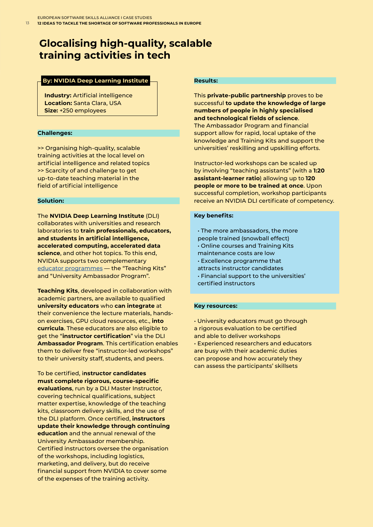### <span id="page-12-0"></span>**Glocalising high-quality, scalable training activities in tech**

#### **By: NVIDIA Deep Learning Institute**

**Industry:** Artificial intelligence **Location:** Santa Clara, USA **Size:** +250 employees

#### **Challenges:**

>> Organising high-quality, scalable training activities at the local level on artificial intelligence and related topics >> Scarcity of and challenge to get up-to-date teaching material in the field of artificial intelligence

#### **Solution:**

The **NVIDIA Deep Learning Institute** (DLI) collaborates with universities and research laboratories to **train professionals, educators, and students in artificial intelligence, accelerated computing, accelerated data science**, and other hot topics. To this end, NVIDIA supports two complementary [educator programmes](https://www.nvidia.com/en-gb/training/educator-programs/) — the "Teaching Kits" and "University Ambassador Program".

**Teaching Kits**, developed in collaboration with academic partners, are available to qualified **university educators** who **can integrate** at their convenience the lecture materials, handson exercises, GPU cloud resources, etc., **into curricula**. These educators are also eligible to get the "**instructor certification**" via the DLI **Ambassador Program**. This certification enables them to deliver free "instructor-led workshops" to their university staff, students, and peers.

To be certified, i**nstructor candidates must complete rigorous, course-specific evaluations**, run by a DLI Master Instructor, covering technical qualifications, subject matter expertise, knowledge of the teaching kits, classroom delivery skills, and the use of the DLI platform. Once certified, **instructors update their knowledge through continuing education** and the annual renewal of the University Ambassador membership. Certified instructors oversee the organisation of the workshops, including logistics, marketing, and delivery, but do receive financial support from NVIDIA to cover some of the expenses of the training activity.

#### **Results:**

This **private-public partnership** proves to be successful **to update the knowledge of large numbers of people in highly specialised and technological fields of science**. The Ambassador Program and financial support allow for rapid, local uptake of the knowledge and Training Kits and support the universities' reskilling and upskilling efforts.

Instructor-led workshops can be scaled up by involving "teaching assistants" (with a **1:20 assistant-learner ratio**) allowing up to **120 people or more to be trained at once**. Upon successful completion, workshop participants receive an NVIDIA DLI certificate of competency.

#### **Key benefits:**

• The more ambassadors, the more

- people trained (snowball effect)
- Online courses and Training Kits
- maintenance costs are low
- Excellence programme that
- attracts instructor candidates
- Financial support to the universities' certified instructors
- 

#### **Key resources:**

• University educators must go through a rigorous evaluation to be certified and able to deliver workshops • Experienced researchers and educators are busy with their academic duties can propose and how accurately they can assess the participants' skillsets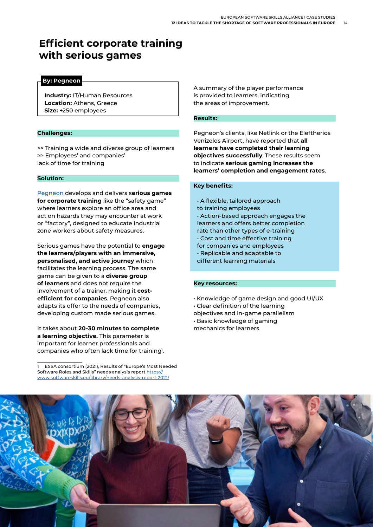### <span id="page-13-0"></span>**Efficient corporate training with serious games**

#### **By: Pegneon**

**Industry:** IT/Human Resources **Location:** Athens, Greece **Size:** +250 employees

#### **Challenges:**

>> Training a wide and diverse group of learners >> Employees' and companies' lack of time for training

#### **Solution:**

[Pegneon](https://www.pegneon.com/) develops and delivers s**erious games for corporate training** like the "safety game" where learners explore an office area and act on hazards they may encounter at work or "factory", designed to educate industrial zone workers about safety measures.

Serious games have the potential to **engage the learners/players with an immersive, personalised, and active journey** which facilitates the learning process. The same game can be given to a **diverse group of learners** and does not require the involvement of a trainer, making it **costefficient for companies**. Pegneon also adapts its offer to the needs of companies, developing custom made serious games.

It takes about **20-30 minutes to complete a learning objective.** This parameter is important for learner professionals and companies who often lack time for training<sup>1</sup>. A summary of the player performance is provided to learners, indicating the areas of improvement.

#### **Results:**

Pegneon's clients, like Netlink or the Eleftherios Venizelos Airport, have reported that **all learners have completed their learning objectives successfully**. These results seem to indicate **serious gaming increases the learners' completion and engagement rates**.

#### **Key benefits:**

• A flexible, tailored approach to training employees • Action-based approach engages the learners and offers better completion rate than other types of e-training • Cost and time effective training for companies and employees • Replicable and adaptable to different learning materials

#### **Key resources:**

- Knowledge of game design and good UI/UX
- Clear definition of the learning
- objectives and in-game parallelism
- Basic knowledge of gaming

mechanics for learners

1 ESSA consortium (2021), Results of "Europe's Most Needed Software Roles and Skills" needs analysis report [https://](https://www.softwareskills.eu/library/needs-analysis-report-2021/) [www.softwareskills.eu/library/needs-analysis-report-2021/](https://www.softwareskills.eu/library/needs-analysis-report-2021/)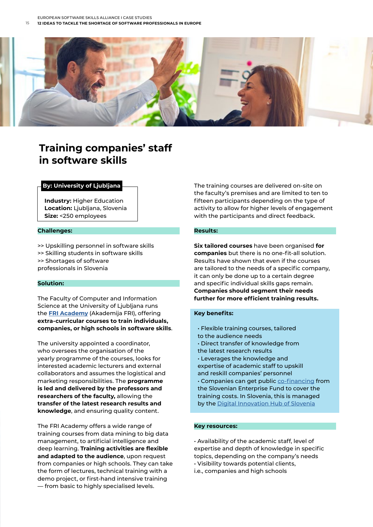<span id="page-14-0"></span>

### **Training companies' staff in software skills**

#### **By: University of Ljubljana**

**Industry:** Higher Education **Location:** Ljubljana, Slovenia **Size:** <250 employees

#### **Challenges:**

>> Upskilling personnel in software skills >> Skilling students in software skills >> Shortages of software professionals in Slovenia

#### **Solution:**

The Faculty of Computer and Information Science at the University of Liubliana runs the **[FRI Academy](https://akademijafri.si/)** (Akademija FRI), offering **extra-curricular courses to train individuals, companies, or high schools in software skills**.

The university appointed a coordinator, who oversees the organisation of the yearly programme of the courses, looks for interested academic lecturers and external collaborators and assumes the logistical and marketing responsibilities. The **programme is led and delivered by the professors and researchers of the faculty,** allowing the **transfer of the latest research results and knowledge**, and ensuring quality content.

The FRI Academy offers a wide range of training courses from data mining to big data management, to artificial intelligence and deep learning. **Training activities are flexible and adapted to the audience**, upon request from companies or high schools. They can take the form of lectures, technical training with a demo project, or first-hand intensive training — from basic to highly specialised levels.

The training courses are delivered on-site on the faculty's premises and are limited to ten to fifteen participants depending on the type of activity to allow for higher levels of engagement with the participants and direct feedback.

#### **Results:**

**Six tailored courses** have been organised **for companies** but there is no one-fit-all solution. Results have shown that even if the courses are tailored to the needs of a specific company, it can only be done up to a certain degree and specific individual skills gaps remain. **Companies should segment their needs further for more efficient training results.**

#### **Key benefits:**

- Flexible training courses, tailored to the audience needs
- Direct transfer of knowledge from
- the latest research results
- Leverages the knowledge and expertise of academic staff to upskill and reskill companies' personnel • Companies can get public [co-financing](https://akademijafri.si/izobrazevanja/sofinanciranje/) from
- the Slovenian Enterprise Fund to cover the training costs. In Slovenia, this is managed by the [Digital Innovation Hub of Slovenia](https://dihslovenia.si/en)

#### **Key resources:**

• Availability of the academic staff, level of expertise and depth of knowledge in specific topics, depending on the company's needs • Visibility towards potential clients, i.e., companies and high schools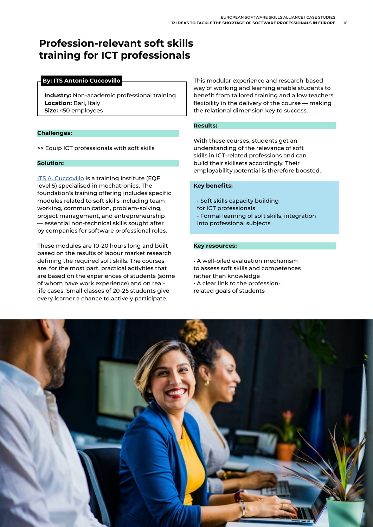### <span id="page-15-0"></span>**Profession-relevant soft skills training for ICT professionals**

#### **By: ITS Antonio Cuccovillo**

**Industry:** Non-academic professional training **Location:** Bari, Italy **Size:** <50 employees

#### **Challenges:**

>> Equip ICT professionals with soft skills

#### **Solution:**

[ITS A. Cuccovillo](https://www.itsmeccatronicapuglia.it/) is a training institute (EQF level 5) specialised in mechatronics. The foundation's training offering includes specific modules related to soft skills including team working, communication, problem-solving, project management, and entrepreneurship — essential non-technical skills sought after by companies for software professional roles.

These modules are 10-20 hours long and built based on the results of labour market research defining the required soft skills. The courses are, for the most part, practical activities that are based on the experiences of students (some of whom have work experience) and on reallife cases. Small classes of 20-25 students give every learner a chance to actively participate.

This modular experience and research-based way of working and learning enable students to benefit from tailored training and allow teachers flexibility in the delivery of the course — making the relational dimension key to success.

#### **Results:**

With these courses, students get an understanding of the relevance of soft skills in ICT-related professions and can build their skillsets accordingly. Their employability potential is therefore boosted.

#### **Key benefits:**

- Soft skills capacity building
- for ICT professionals
- Formal learning of soft skills, integration
- into professional subjects

#### **Key resources:**

• A well-oiled evaluation mechanism to assess soft skills and competences rather than knowledge • A clear link to the professionrelated goals of students

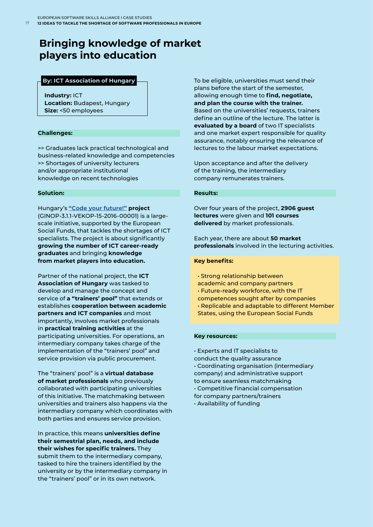### <span id="page-16-0"></span>**Bringing knowledge of market players into education**

#### **By: ICT Association of Hungary**

**Industry:** ICT **Location:** Budapest, Hungary **Size:** <50 employees

#### **Challenges:**

>> Graduates lack practical technological and business-related knowledge and competencies >> Shortages of university lecturers and/or appropriate institutional knowledge on recent technologies

#### **Solution:**

Hungary's **["Code your future!"](https://programozdajovod.hu/) project**  (GINOP-3.1.1-VEKOP-15-2016-00001) is a largescale initiative, supported by the European Social Funds, that tackles the shortages of ICT specialists. The project is about significantly **growing the number of ICT career-ready graduates** and bringing **knowledge from market players into education.**

Partner of the national project, the **ICT Association of Hungary** was tasked to develop and manage the concept and service of **a "trainers' pool"** that extends or establishes **cooperation between academic partners and ICT companies** and most importantly, involves market professionals in **practical training activities** at the participating universities. For operations, an intermediary company takes charge of the implementation of the "trainers' pool" and service provision via public procurement.

The "trainers' pool" is a **virtual database of market professionals** who previously collaborated with participating universities of this initiative. The matchmaking between universities and trainers also happens via the intermediary company which coordinates with both parties and ensures service provision.

In practice, this means **universities define their semestrial plan, needs, and include their wishes for specific trainers.** They submit them to the intermediary company, tasked to hire the trainers identified by the university or by the intermediary company in the "trainers' pool" or in its own network.

To be eligible, universities must send their plans before the start of the semester, allowing enough time to **find, negotiate, and plan the course with the trainer.**  Based on the universities' requests, trainers define an outline of the lecture. The latter is **evaluated by a board** of two IT specialists and one market expert responsible for quality assurance, notably ensuring the relevance of lectures to the labour market expectations.

Upon acceptance and after the delivery of the training, the intermediary company remunerates trainers.

#### **Results:**

Over four years of the project, **2906 guest lectures** were given and **101 courses delivered** by market professionals.

Each year, there are about **50 market professionals** involved in the lecturing activities.

#### **Key benefits:**

- Strong relationship between
- academic and company partners
- Future-ready workforce, with the IT
- competences sought after by companies
- Replicable and adaptable to different Member States, using the European Social Funds

#### **Key resources:**

- Experts and IT specialists to
- conduct the quality assurance
- Coordinating organisation (intermediary company) and administrative support to ensure seamless matchmaking
- Competitive financial compensation
- for company partners/trainers
- Availability of funding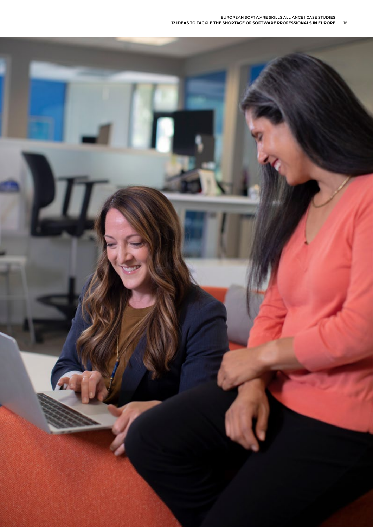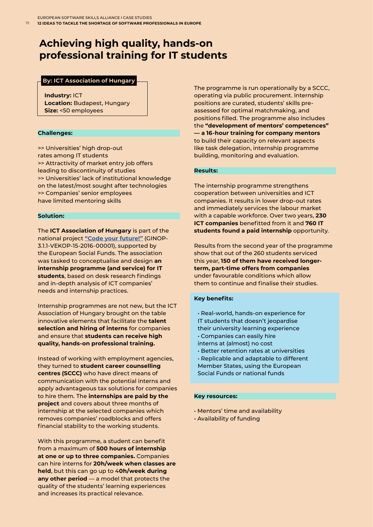### <span id="page-18-0"></span>**Achieving high quality, hands-on professional training for IT students**

#### **By: ICT Association of Hungary**

**Industry:** ICT **Location:** Budapest, Hungary **Size:** <50 employees

#### **Challenges:**

>> Universities' high drop-out rates among IT students >> Attractivity of market entry job offers leading to discontinuity of studies >> Universities' lack of institutional knowledge on the latest/most sought after technologies >> Companies' senior employees have limited mentoring skills

#### **Solution:**

The **ICT Association of Hungary** is part of the national project **["Code your future!"](https://programozdajovod.hu/)** (GINOP-3.1.1-VEKOP-15-2016-00001), supported by the European Social Funds. The association was tasked to conceptualise and design **an internship programme (and service) for IT students**, based on desk research findings and in-depth analysis of ICT companies' needs and internship practices.

Internship programmes are not new, but the ICT Association of Hungary brought on the table innovative elements that facilitate the **talent selection and hiring of interns** for companies and ensure that **students can receive high quality, hands-on professional training.**

Instead of working with employment agencies, they turned to **student career counselling centres (SCCC)** who have direct means of communication with the potential interns and apply advantageous tax solutions for companies to hire them. The **internships are paid by the project** and covers about three months of internship at the selected companies which removes companies' roadblocks and offers financial stability to the working students.

With this programme, a student can benefit from a maximum of **500 hours of internship at one or up to three companies.** Companies can hire interns for **20h/week when classes are held**, but this can go up to 4**0h/week during any other period** — a model that protects the quality of the students' learning experiences and increases its practical relevance.

The programme is run operationally by a SCCC, operating via public procurement. Internship positions are curated, students' skills preassessed for optimal matchmaking, and positions filled. The programme also includes the **"development of mentors' competences" — a 16-hour training for company mentors**  to build their capacity on relevant aspects like task delegation, internship programme building, monitoring and evaluation.

#### **Results:**

The internship programme strengthens cooperation between universities and ICT companies. It results in lower drop-out rates and immediately services the labour market with a capable workforce. Over two years, **230 ICT companies** benefitted from it and **760 IT students found a paid internship** opportunity.

Results from the second year of the programme show that out of the 260 students serviced this year, **150 of them have received longerterm, part-time offers from companies**  under favourable conditions which allow them to continue and finalise their studies.

#### **Key benefits:**

- Real-world, hands-on experience for IT students that doesn't jeopardise their university learning experience • Companies can easily hire interns at (almost) no cost • Better retention rates at universities
- Replicable and adaptable to different Member States, using the European Social Funds or national funds

#### **Key resources:**

- Mentors' time and availability
- Availability of funding